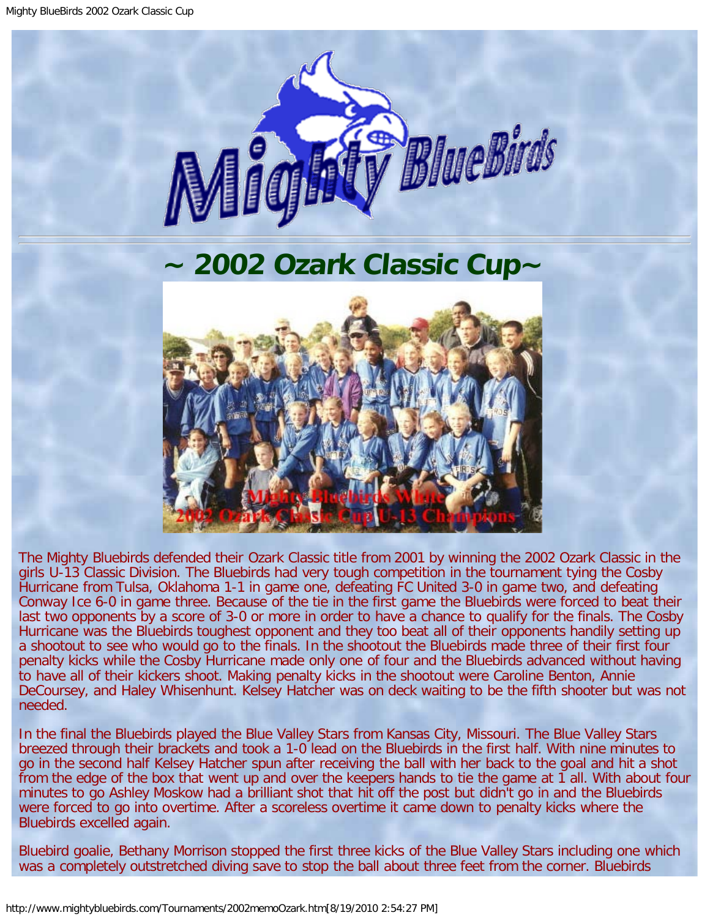

## **~ 2002 Ozark Classic Cup~**

<span id="page-0-0"></span>

The Mighty Bluebirds defended their Ozark Classic title from 2001 by winning the 2002 Ozark Classic in the girls U-13 Classic Division. The Bluebirds had very tough competition in the tournament tying the Cosby Hurricane from Tulsa, Oklahoma 1-1 in game one, defeating FC United 3-0 in game two, and defeating Conway Ice 6-0 in game three. Because of the tie in the first game the Bluebirds were forced to beat their last two opponents by a score of 3-0 or more in order to have a chance to qualify for the finals. The Cosby Hurricane was the Bluebirds toughest opponent and they too beat all of their opponents handily setting up a shootout to see who would go to the finals. In the shootout the Bluebirds made three of their first four penalty kicks while the Cosby Hurricane made only one of four and the Bluebirds advanced without having to have all of their kickers shoot. Making penalty kicks in the shootout were Caroline Benton, Annie DeCoursey, and Haley Whisenhunt. Kelsey Hatcher was on deck waiting to be the fifth shooter but was not needed.

In the final the Bluebirds played the Blue Valley Stars from Kansas City, Missouri. The Blue Valley Stars breezed through their brackets and took a 1-0 lead on the Bluebirds in the first half. With nine minutes to go in the second half Kelsey Hatcher spun after receiving the ball with her back to the goal and hit a shot from the edge of the box that went up and over the keepers hands to tie the game at 1 all. With about four minutes to go Ashley Moskow had a brilliant shot that hit off the post but didn't go in and the Bluebirds were forced to go into overtime. After a scoreless overtime it came down to penalty kicks where the Bluebirds excelled again.

Bluebird goalie, Bethany Morrison stopped the first three kicks of the Blue Valley Stars including one which was a completely outstretched diving save to stop the ball about three feet from the corner. Bluebirds